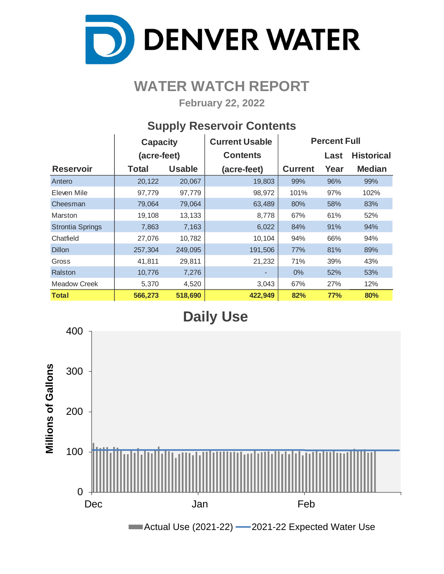

## **WATER WATCH REPORT**

**February 22, 2022**

## **Supply Reservoir Contents**

|                         | <b>Capacity</b> |               | <b>Current Usable</b> | <b>Percent Full</b> |            |                   |  |  |  |
|-------------------------|-----------------|---------------|-----------------------|---------------------|------------|-------------------|--|--|--|
|                         | (acre-feet)     |               | <b>Contents</b>       |                     | Last       | <b>Historical</b> |  |  |  |
| <b>Reservoir</b>        | <b>Total</b>    | <b>Usable</b> | (acre-feet)           | <b>Current</b>      | Year       | <b>Median</b>     |  |  |  |
| Antero                  | 20,122          | 20,067        | 19,803                | 99%                 | 96%        | 99%               |  |  |  |
| Eleven Mile             | 97,779          | 97,779        | 98,972                | 101%                | 97%        | 102%              |  |  |  |
| Cheesman                | 79,064          | 79,064        | 63,489                | 80%                 | 58%        | 83%               |  |  |  |
| Marston                 | 19,108          | 13,133        | 8,778                 | 67%                 | 61%        | 52%               |  |  |  |
| <b>Strontia Springs</b> | 7,863           | 7,163         | 6,022                 | 84%                 | 91%        | 94%               |  |  |  |
| Chatfield               | 27,076          | 10,782        | 10,104                | 94%                 | 66%        | 94%               |  |  |  |
| <b>Dillon</b>           | 257,304         | 249,095       | 191,506               | 77%                 | 81%        | 89%               |  |  |  |
| Gross                   | 41,811          | 29,811        | 21,232                | 71%                 | 39%        | 43%               |  |  |  |
| Ralston                 | 10,776          | 7,276         |                       | $0\%$               | 52%        | 53%               |  |  |  |
| Meadow Creek            | 5,370           | 4,520         | 3,043                 | 67%                 | 27%        | 12%               |  |  |  |
| <b>Total</b>            | 566,273         | 518,690       | 422,949               | 82%                 | <b>77%</b> | 80%               |  |  |  |

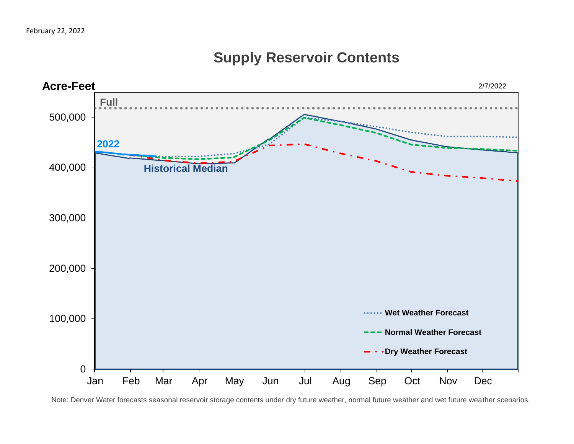## 0 100,000 200,000 300,000 400,000 500,000 Jan Feb Mar Apr May Jun Jul Aug Sep Oct Nov Dec **Acre-Feet Wet Weather Forecast Normal Weather Forecast Dry Weather Forecast 2022 Historical Median Full** 2/7/2022

## **Supply Reservoir Contents**

Note: Denver Water forecasts seasonal reservoir storage contents under dry future weather, normal future weather and wet future weather scenarios.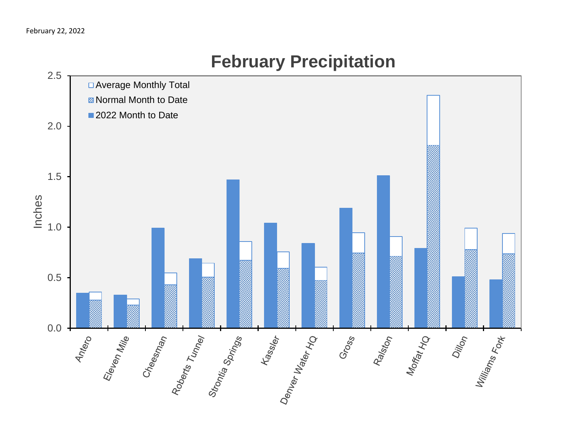# 2.5 □ Average Monthly Total **Z** Normal Month to Date ■2022 Month to Date 2.0 1.5 Inches 1.0 0.5 ss ys fassier<br>Demier Water Ho Term  $rac{2}{3}$ <br>0.0 + Eleven Mile<br>Cheesnan<br>Poberts Tunney<br>Stontia Springs Ralsto<sub>n</sub><br>Mor<sub>fat HQ</sub> Dillon<br>Williams<br><sup>Terns Fort</sup> Gross

## **February Precipitation**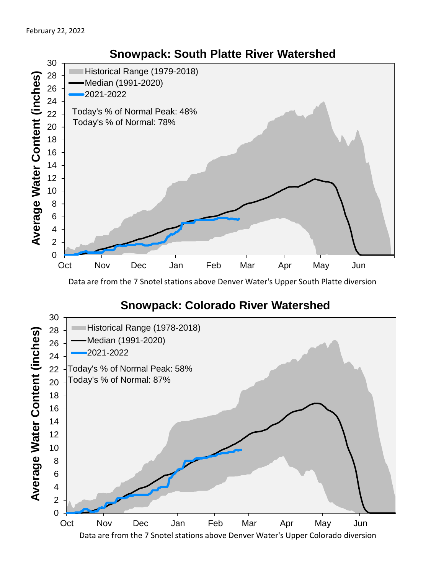

Data are from the 7 Snotel stations above Denver Water's Upper South Platte diversion

### **Snowpack: Colorado River Watershed**

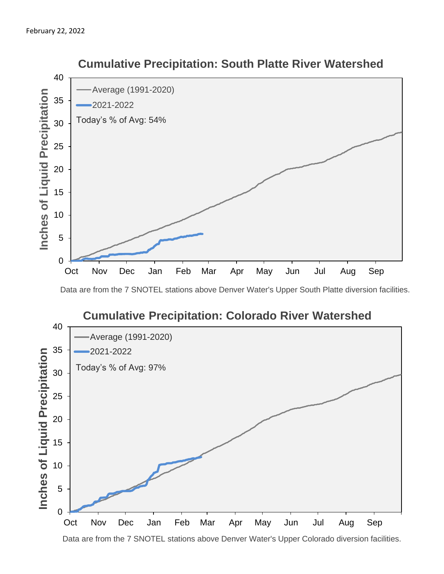

#### **Cumulative Precipitation: South Platte River Watershed**

Data are from the 7 SNOTEL stations above Denver Water's Upper South Platte diversion facilities.



Data are from the 7 SNOTEL stations above Denver Water's Upper Colorado diversion facilities.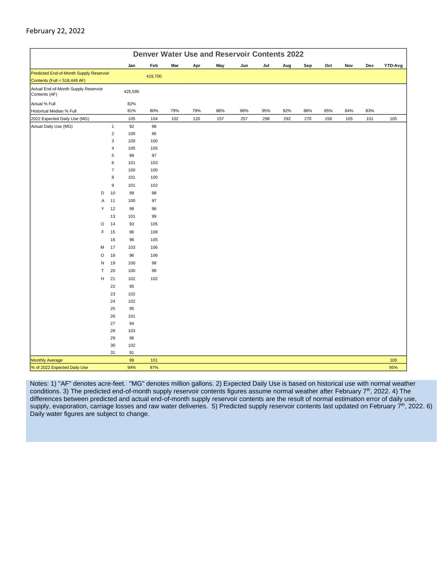#### February 22, 2022

| <b>Denver Water Use and Reservoir Contents 2022</b>   |              |                         |         |         |     |     |     |     |     |     |     |     |     |     |         |
|-------------------------------------------------------|--------------|-------------------------|---------|---------|-----|-----|-----|-----|-----|-----|-----|-----|-----|-----|---------|
|                                                       |              |                         | Jan     | Feb     | Mar | Apr | May | Jun | Jul | Aug | Sep | Oct | Nov | Dec | YTD-Avg |
| Predicted End-of-Month Supply Reservoir               |              |                         |         | 419,700 |     |     |     |     |     |     |     |     |     |     |         |
| Contents (Full = 518,449 AF)                          |              |                         |         |         |     |     |     |     |     |     |     |     |     |     |         |
| Actual End-of-Month Supply Reservoir<br>Contents (AF) |              |                         | 425,595 |         |     |     |     |     |     |     |     |     |     |     |         |
| Actual % Full                                         |              |                         | 82%     |         |     |     |     |     |     |     |     |     |     |     |         |
| Historical Median % Full                              |              |                         | 81%     | 80%     | 79% | 79% | 88% | 98% | 95% | 92% | 88% | 85% | 84% | 83% |         |
| 2022 Expected Daily Use (MG)                          |              |                         | 105     | 104     | 102 | 120 | 157 | 257 | 298 | 292 | 270 | 158 | 105 | 101 | 105     |
| Actual Daily Use (MG)                                 |              | $\mathbf{1}$            | 92      | 98      |     |     |     |     |     |     |     |     |     |     |         |
|                                                       |              | $\overline{c}$          | 100     | 95      |     |     |     |     |     |     |     |     |     |     |         |
|                                                       |              | 3                       | 100     | 100     |     |     |     |     |     |     |     |     |     |     |         |
|                                                       |              | $\overline{\mathbf{4}}$ | 105     | 105     |     |     |     |     |     |     |     |     |     |     |         |
|                                                       |              | 5                       | 99      | 97      |     |     |     |     |     |     |     |     |     |     |         |
|                                                       |              | 6                       | 101     | 103     |     |     |     |     |     |     |     |     |     |     |         |
|                                                       |              | $\overline{7}$          | 100     | 100     |     |     |     |     |     |     |     |     |     |     |         |
|                                                       |              | 8                       | 101     | 100     |     |     |     |     |     |     |     |     |     |     |         |
|                                                       |              | 9                       | 101     | 102     |     |     |     |     |     |     |     |     |     |     |         |
|                                                       | D            | 10                      | 99      | 98      |     |     |     |     |     |     |     |     |     |     |         |
|                                                       | Α            | 11                      | 100     | 97      |     |     |     |     |     |     |     |     |     |     |         |
|                                                       | Υ            | 12                      | 98      | 96      |     |     |     |     |     |     |     |     |     |     |         |
|                                                       |              | 13                      | 101     | 99      |     |     |     |     |     |     |     |     |     |     |         |
|                                                       | O            | 14                      | 93      | 105     |     |     |     |     |     |     |     |     |     |     |         |
|                                                       | F            | 15                      | 96      | 108     |     |     |     |     |     |     |     |     |     |     |         |
|                                                       |              | 16                      | 96      | 105     |     |     |     |     |     |     |     |     |     |     |         |
|                                                       | M            | 17                      | 103     | 106     |     |     |     |     |     |     |     |     |     |     |         |
|                                                       | $\circ$      | 18                      | 96      | 106     |     |     |     |     |     |     |     |     |     |     |         |
|                                                       | N            | 19                      | 100     | 98      |     |     |     |     |     |     |     |     |     |     |         |
|                                                       | $\mathsf{T}$ | 20                      | 100     | 99      |     |     |     |     |     |     |     |     |     |     |         |
|                                                       | H            | 21                      | 102     | 102     |     |     |     |     |     |     |     |     |     |     |         |
|                                                       |              | 22                      | 95      |         |     |     |     |     |     |     |     |     |     |     |         |
|                                                       |              | 23                      | 102     |         |     |     |     |     |     |     |     |     |     |     |         |
|                                                       |              | 24                      | 102     |         |     |     |     |     |     |     |     |     |     |     |         |
|                                                       |              | 25                      | 95      |         |     |     |     |     |     |     |     |     |     |     |         |
|                                                       |              | 26                      | 101     |         |     |     |     |     |     |     |     |     |     |     |         |
|                                                       |              | 27                      | 94      |         |     |     |     |     |     |     |     |     |     |     |         |
|                                                       |              | 28                      | 103     |         |     |     |     |     |     |     |     |     |     |     |         |
|                                                       |              | 29                      | 96      |         |     |     |     |     |     |     |     |     |     |     |         |
|                                                       |              | 30                      | 102     |         |     |     |     |     |     |     |     |     |     |     |         |
|                                                       |              | 31                      | 91      |         |     |     |     |     |     |     |     |     |     |     |         |
| <b>Monthly Average</b>                                |              |                         | 99      | 101     |     |     |     |     |     |     |     |     |     |     | 100     |
| % of 2022 Expected Daily Use                          |              |                         | 94%     | 97%     |     |     |     |     |     |     |     |     |     |     | 95%     |

Notes: 1) "AF" denotes acre-feet. "MG" denotes million gallons. 2) Expected Daily Use is based on historical use with normal weather conditions. 3) The predicted end-of-month supply reservoir contents figures assume normal weather after February 7<sup>th</sup>, 2022. 4) The differences between predicted and actual end-of-month supply reservoir contents are the result of normal estimation error of daily use, supply, evaporation, carriage losses and raw water deliveries. 5) Predicted supply reservoir contents last updated on February 7<sup>th</sup>, 2022. 6) Daily water figures are subject to change.